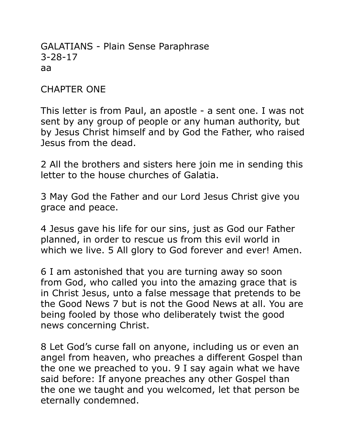GALATIANS - Plain Sense Paraphrase 3-28-17 aa

CHAPTER ONE

This letter is from Paul, an apostle - a sent one. I was not sent by any group of people or any human authority, but by Jesus Christ himself and by God the Father, who raised Jesus from the dead.

2 All the brothers and sisters here join me in sending this letter to the house churches of Galatia.

3 May God the Father and our Lord Jesus Christ give you grace and peace.

4 Jesus gave his life for our sins, just as God our Father planned, in order to rescue us from this evil world in which we live. 5 All glory to God forever and ever! Amen.

6 I am astonished that you are turning away so soon from God, who called you into the amazing grace that is in Christ Jesus, unto a false message that pretends to be the Good News 7 but is not the Good News at all. You are being fooled by those who deliberately twist the good news concerning Christ.

8 Let God's curse fall on anyone, including us or even an angel from heaven, who preaches a different Gospel than the one we preached to you. 9 I say again what we have said before: If anyone preaches any other Gospel than the one we taught and you welcomed, let that person be eternally condemned.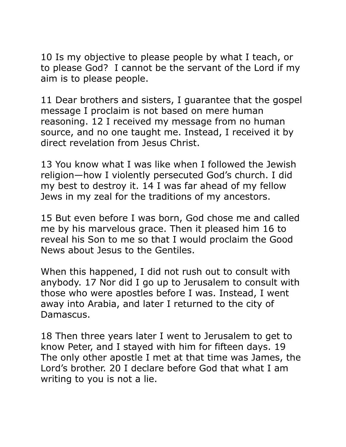10 Is my objective to please people by what I teach, or to please God? I cannot be the servant of the Lord if my aim is to please people.

11 Dear brothers and sisters, I guarantee that the gospel message I proclaim is not based on mere human reasoning. 12 I received my message from no human source, and no one taught me. Instead, I received it by direct revelation from Jesus Christ.

13 You know what I was like when I followed the Jewish religion—how I violently persecuted God's church. I did my best to destroy it. 14 I was far ahead of my fellow Jews in my zeal for the traditions of my ancestors.

15 But even before I was born, God chose me and called me by his marvelous grace. Then it pleased him 16 to reveal his Son to me so that I would proclaim the Good News about Jesus to the Gentiles.

When this happened, I did not rush out to consult with anybody. 17 Nor did I go up to Jerusalem to consult with those who were apostles before I was. Instead, I went away into Arabia, and later I returned to the city of Damascus.

18 Then three years later I went to Jerusalem to get to know Peter, and I stayed with him for fifteen days. 19 The only other apostle I met at that time was James, the Lord's brother. 20 I declare before God that what I am writing to you is not a lie.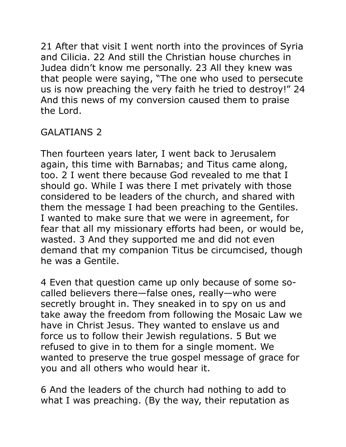21 After that visit I went north into the provinces of Syria and Cilicia. 22 And still the Christian house churches in Judea didn't know me personally. 23 All they knew was that people were saying, "The one who used to persecute us is now preaching the very faith he tried to destroy!" 24 And this news of my conversion caused them to praise the Lord.

# GALATIANS 2

Then fourteen years later, I went back to Jerusalem again, this time with Barnabas; and Titus came along, too. 2 I went there because God revealed to me that I should go. While I was there I met privately with those considered to be leaders of the church, and shared with them the message I had been preaching to the Gentiles. I wanted to make sure that we were in agreement, for fear that all my missionary efforts had been, or would be, wasted. 3 And they supported me and did not even demand that my companion Titus be circumcised, though he was a Gentile.

4 Even that question came up only because of some socalled believers there—false ones, really—who were secretly brought in. They sneaked in to spy on us and take away the freedom from following the Mosaic Law we have in Christ Jesus. They wanted to enslave us and force us to follow their Jewish regulations. 5 But we refused to give in to them for a single moment. We wanted to preserve the true gospel message of grace for you and all others who would hear it.

6 And the leaders of the church had nothing to add to what I was preaching. (By the way, their reputation as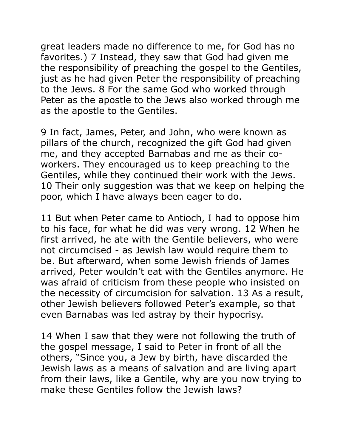great leaders made no difference to me, for God has no favorites.) 7 Instead, they saw that God had given me the responsibility of preaching the gospel to the Gentiles, just as he had given Peter the responsibility of preaching to the Jews. 8 For the same God who worked through Peter as the apostle to the Jews also worked through me as the apostle to the Gentiles.

9 In fact, James, Peter, and John, who were known as pillars of the church, recognized the gift God had given me, and they accepted Barnabas and me as their coworkers. They encouraged us to keep preaching to the Gentiles, while they continued their work with the Jews. 10 Their only suggestion was that we keep on helping the poor, which I have always been eager to do.

11 But when Peter came to Antioch, I had to oppose him to his face, for what he did was very wrong. 12 When he first arrived, he ate with the Gentile believers, who were not circumcised - as Jewish law would require them to be. But afterward, when some Jewish friends of James arrived, Peter wouldn't eat with the Gentiles anymore. He was afraid of criticism from these people who insisted on the necessity of circumcision for salvation. 13 As a result, other Jewish believers followed Peter's example, so that even Barnabas was led astray by their hypocrisy.

14 When I saw that they were not following the truth of the gospel message, I said to Peter in front of all the others, "Since you, a Jew by birth, have discarded the Jewish laws as a means of salvation and are living apart from their laws, like a Gentile, why are you now trying to make these Gentiles follow the Jewish laws?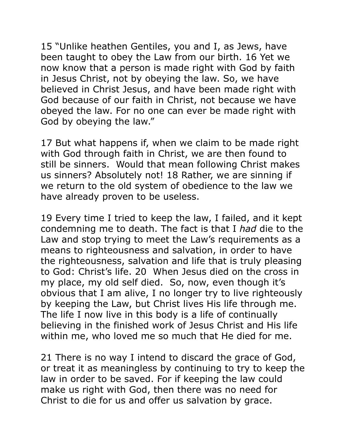15 "Unlike heathen Gentiles, you and I, as Jews, have been taught to obey the Law from our birth. 16 Yet we now know that a person is made right with God by faith in Jesus Christ, not by obeying the law. So, we have believed in Christ Jesus, and have been made right with God because of our faith in Christ, not because we have obeyed the law. For no one can ever be made right with God by obeying the law."

17 But what happens if, when we claim to be made right with God through faith in Christ, we are then found to still be sinners. Would that mean following Christ makes us sinners? Absolutely not! 18 Rather, we are sinning if we return to the old system of obedience to the law we have already proven to be useless.

19 Every time I tried to keep the law, I failed, and it kept condemning me to death. The fact is that I *had* die to the Law and stop trying to meet the Law's requirements as a means to righteousness and salvation, in order to have the righteousness, salvation and life that is truly pleasing to God: Christ's life. 20 When Jesus died on the cross in my place, my old self died. So, now, even though it's obvious that I am alive, I no longer try to live righteously by keeping the Law, but Christ lives His life through me. The life I now live in this body is a life of continually believing in the finished work of Jesus Christ and His life within me, who loved me so much that He died for me.

21 There is no way I intend to discard the grace of God, or treat it as meaningless by continuing to try to keep the law in order to be saved. For if keeping the law could make us right with God, then there was no need for Christ to die for us and offer us salvation by grace.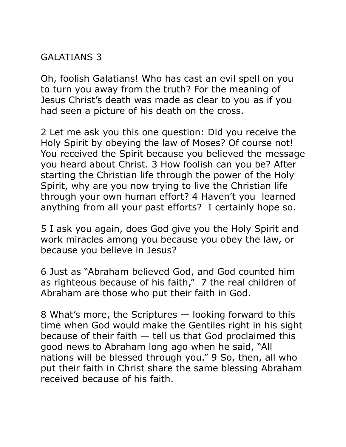### GALATIANS 3

Oh, foolish Galatians! Who has cast an evil spell on you to turn you away from the truth? For the meaning of Jesus Christ's death was made as clear to you as if you had seen a picture of his death on the cross.

2 Let me ask you this one question: Did you receive the Holy Spirit by obeying the law of Moses? Of course not! You received the Spirit because you believed the message you heard about Christ. 3 How foolish can you be? After starting the Christian life through the power of the Holy Spirit, why are you now trying to live the Christian life through your own human effort? 4 Haven't you learned anything from all your past efforts? I certainly hope so.

5 I ask you again, does God give you the Holy Spirit and work miracles among you because you obey the law, or because you believe in Jesus?

6 Just as "Abraham believed God, and God counted him as righteous because of his faith," 7 the real children of Abraham are those who put their faith in God.

8 What's more, the Scriptures — looking forward to this time when God would make the Gentiles right in his sight because of their faith  $-$  tell us that God proclaimed this good news to Abraham long ago when he said, "All nations will be blessed through you." 9 So, then, all who put their faith in Christ share the same blessing Abraham received because of his faith.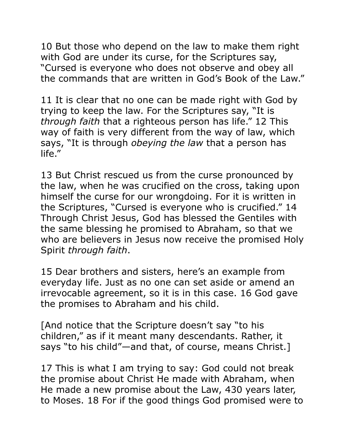10 But those who depend on the law to make them right with God are under its curse, for the Scriptures say, "Cursed is everyone who does not observe and obey all the commands that are written in God's Book of the Law."

11 It is clear that no one can be made right with God by trying to keep the law. For the Scriptures say, "It is *through faith* that a righteous person has life." 12 This way of faith is very different from the way of law, which says, "It is through *obeying the law* that a person has life."

13 But Christ rescued us from the curse pronounced by the law, when he was crucified on the cross, taking upon himself the curse for our wrongdoing. For it is written in the Scriptures, "Cursed is everyone who is crucified." 14 Through Christ Jesus, God has blessed the Gentiles with the same blessing he promised to Abraham, so that we who are believers in Jesus now receive the promised Holy Spirit *through faith*.

15 Dear brothers and sisters, here's an example from everyday life. Just as no one can set aside or amend an irrevocable agreement, so it is in this case. 16 God gave the promises to Abraham and his child.

[And notice that the Scripture doesn't say "to his children," as if it meant many descendants. Rather, it says "to his child"—and that, of course, means Christ.]

17 This is what I am trying to say: God could not break the promise about Christ He made with Abraham, when He made a new promise about the Law, 430 years later, to Moses. 18 For if the good things God promised were to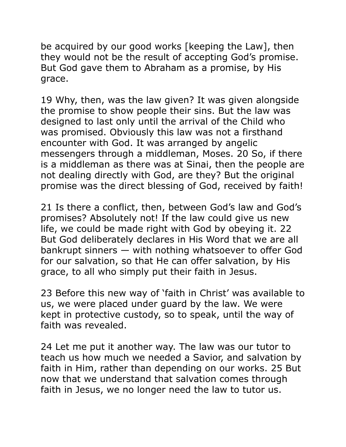be acquired by our good works [keeping the Law], then they would not be the result of accepting God's promise. But God gave them to Abraham as a promise, by His grace.

19 Why, then, was the law given? It was given alongside the promise to show people their sins. But the law was designed to last only until the arrival of the Child who was promised. Obviously this law was not a firsthand encounter with God. It was arranged by angelic messengers through a middleman, Moses. 20 So, if there is a middleman as there was at Sinai, then the people are not dealing directly with God, are they? But the original promise was the direct blessing of God, received by faith!

21 Is there a conflict, then, between God's law and God's promises? Absolutely not! If the law could give us new life, we could be made right with God by obeying it. 22 But God deliberately declares in His Word that we are all bankrupt sinners — with nothing whatsoever to offer God for our salvation, so that He can offer salvation, by His grace, to all who simply put their faith in Jesus.

23 Before this new way of 'faith in Christ' was available to us, we were placed under guard by the law. We were kept in protective custody, so to speak, until the way of faith was revealed.

24 Let me put it another way. The law was our tutor to teach us how much we needed a Savior, and salvation by faith in Him, rather than depending on our works. 25 But now that we understand that salvation comes through faith in Jesus, we no longer need the law to tutor us.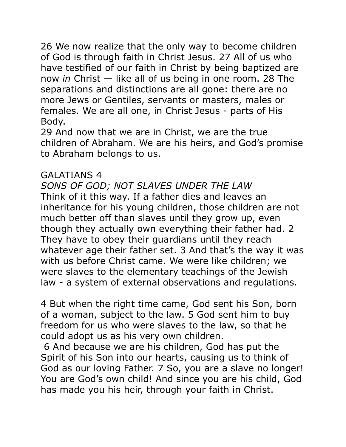26 We now realize that the only way to become children of God is through faith in Christ Jesus. 27 All of us who have testified of our faith in Christ by being baptized are now *in* Christ — like all of us being in one room. 28 The separations and distinctions are all gone: there are no more Jews or Gentiles, servants or masters, males or females. We are all one, in Christ Jesus - parts of His Body.

29 And now that we are in Christ, we are the true children of Abraham. We are his heirs, and God's promise to Abraham belongs to us.

### GALATIANS 4

*SONS OF GOD; NOT SLAVES UNDER THE LAW*  Think of it this way. If a father dies and leaves an inheritance for his young children, those children are not much better off than slaves until they grow up, even though they actually own everything their father had. 2 They have to obey their guardians until they reach whatever age their father set. 3 And that's the way it was with us before Christ came. We were like children; we were slaves to the elementary teachings of the Jewish law - a system of external observations and regulations.

4 But when the right time came, God sent his Son, born of a woman, subject to the law. 5 God sent him to buy freedom for us who were slaves to the law, so that he could adopt us as his very own children.

 6 And because we are his children, God has put the Spirit of his Son into our hearts, causing us to think of God as our loving Father. 7 So, you are a slave no longer! You are God's own child! And since you are his child, God has made you his heir, through your faith in Christ.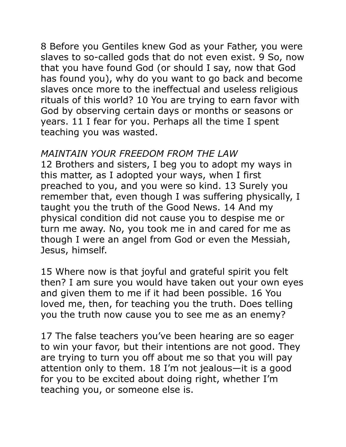8 Before you Gentiles knew God as your Father, you were slaves to so-called gods that do not even exist. 9 So, now that you have found God (or should I say, now that God has found you), why do you want to go back and become slaves once more to the ineffectual and useless religious rituals of this world? 10 You are trying to earn favor with God by observing certain days or months or seasons or years. 11 I fear for you. Perhaps all the time I spent teaching you was wasted.

#### *MAINTAIN YOUR FREEDOM FROM THE LAW*

12 Brothers and sisters, I beg you to adopt my ways in this matter, as I adopted your ways, when I first preached to you, and you were so kind. 13 Surely you remember that, even though I was suffering physically, I taught you the truth of the Good News. 14 And my physical condition did not cause you to despise me or turn me away. No, you took me in and cared for me as though I were an angel from God or even the Messiah, Jesus, himself.

15 Where now is that joyful and grateful spirit you felt then? I am sure you would have taken out your own eyes and given them to me if it had been possible. 16 You loved me, then, for teaching you the truth. Does telling you the truth now cause you to see me as an enemy?

17 The false teachers you've been hearing are so eager to win your favor, but their intentions are not good. They are trying to turn you off about me so that you will pay attention only to them. 18 I'm not jealous—it is a good for you to be excited about doing right, whether I'm teaching you, or someone else is.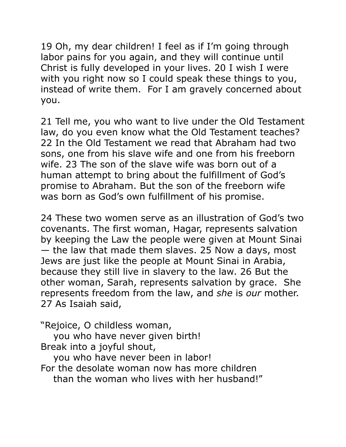19 Oh, my dear children! I feel as if I'm going through labor pains for you again, and they will continue until Christ is fully developed in your lives. 20 I wish I were with you right now so I could speak these things to you, instead of write them. For I am gravely concerned about you.

21 Tell me, you who want to live under the Old Testament law, do you even know what the Old Testament teaches? 22 In the Old Testament we read that Abraham had two sons, one from his slave wife and one from his freeborn wife. 23 The son of the slave wife was born out of a human attempt to bring about the fulfillment of God's promise to Abraham. But the son of the freeborn wife was born as God's own fulfillment of his promise.

24 These two women serve as an illustration of God's two covenants. The first woman, Hagar, represents salvation by keeping the Law the people were given at Mount Sinai — the law that made them slaves. 25 Now a days, most Jews are just like the people at Mount Sinai in Arabia, because they still live in slavery to the law. 26 But the other woman, Sarah, represents salvation by grace. She represents freedom from the law, and *she* is *our* mother. 27 As Isaiah said,

"Rejoice, O childless woman,

you who have never given birth!

Break into a joyful shout,

you who have never been in labor!

For the desolate woman now has more children

than the woman who lives with her husband!"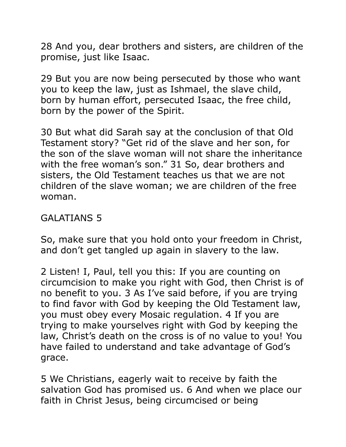28 And you, dear brothers and sisters, are children of the promise, just like Isaac.

29 But you are now being persecuted by those who want you to keep the law, just as Ishmael, the slave child, born by human effort, persecuted Isaac, the free child, born by the power of the Spirit.

30 But what did Sarah say at the conclusion of that Old Testament story? "Get rid of the slave and her son, for the son of the slave woman will not share the inheritance with the free woman's son." 31 So, dear brothers and sisters, the Old Testament teaches us that we are not children of the slave woman; we are children of the free woman.

## GALATIANS 5

So, make sure that you hold onto your freedom in Christ, and don't get tangled up again in slavery to the law.

2 Listen! I, Paul, tell you this: If you are counting on circumcision to make you right with God, then Christ is of no benefit to you. 3 As I've said before, if you are trying to find favor with God by keeping the Old Testament law, you must obey every Mosaic regulation. 4 If you are trying to make yourselves right with God by keeping the law, Christ's death on the cross is of no value to you! You have failed to understand and take advantage of God's grace.

5 We Christians, eagerly wait to receive by faith the salvation God has promised us. 6 And when we place our faith in Christ Jesus, being circumcised or being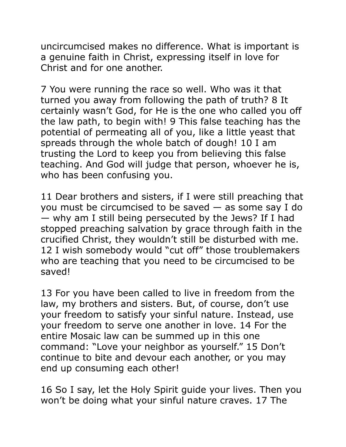uncircumcised makes no difference. What is important is a genuine faith in Christ, expressing itself in love for Christ and for one another.

7 You were running the race so well. Who was it that turned you away from following the path of truth? 8 It certainly wasn't God, for He is the one who called you off the law path, to begin with! 9 This false teaching has the potential of permeating all of you, like a little yeast that spreads through the whole batch of dough! 10 I am trusting the Lord to keep you from believing this false teaching. And God will judge that person, whoever he is, who has been confusing you.

11 Dear brothers and sisters, if I were still preaching that you must be circumcised to be saved — as some say I do — why am I still being persecuted by the Jews? If I had stopped preaching salvation by grace through faith in the crucified Christ, they wouldn't still be disturbed with me. 12 I wish somebody would "cut off" those troublemakers who are teaching that you need to be circumcised to be saved!

13 For you have been called to live in freedom from the law, my brothers and sisters. But, of course, don't use your freedom to satisfy your sinful nature. Instead, use your freedom to serve one another in love. 14 For the entire Mosaic law can be summed up in this one command: "Love your neighbor as yourself." 15 Don't continue to bite and devour each another, or you may end up consuming each other!

16 So I say, let the Holy Spirit guide your lives. Then you won't be doing what your sinful nature craves. 17 The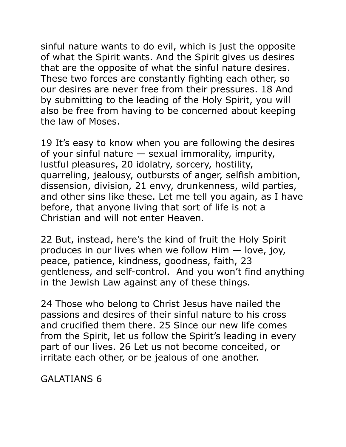sinful nature wants to do evil, which is just the opposite of what the Spirit wants. And the Spirit gives us desires that are the opposite of what the sinful nature desires. These two forces are constantly fighting each other, so our desires are never free from their pressures. 18 And by submitting to the leading of the Holy Spirit, you will also be free from having to be concerned about keeping the law of Moses.

19 It's easy to know when you are following the desires of your sinful nature — sexual immorality, impurity, lustful pleasures, 20 idolatry, sorcery, hostility, quarreling, jealousy, outbursts of anger, selfish ambition, dissension, division, 21 envy, drunkenness, wild parties, and other sins like these. Let me tell you again, as I have before, that anyone living that sort of life is not a Christian and will not enter Heaven.

22 But, instead, here's the kind of fruit the Holy Spirit produces in our lives when we follow Him — love, joy, peace, patience, kindness, goodness, faith, 23 gentleness, and self-control. And you won't find anything in the Jewish Law against any of these things.

24 Those who belong to Christ Jesus have nailed the passions and desires of their sinful nature to his cross and crucified them there. 25 Since our new life comes from the Spirit, let us follow the Spirit's leading in every part of our lives. 26 Let us not become conceited, or irritate each other, or be jealous of one another.

GALATIANS 6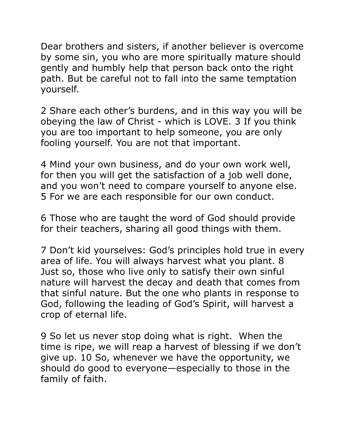Dear brothers and sisters, if another believer is overcome by some sin, you who are more spiritually mature should gently and humbly help that person back onto the right path. But be careful not to fall into the same temptation yourself.

2 Share each other's burdens, and in this way you will be obeying the law of Christ - which is LOVE. 3 If you think you are too important to help someone, you are only fooling yourself. You are not that important.

4 Mind your own business, and do your own work well, for then you will get the satisfaction of a job well done, and you won't need to compare yourself to anyone else. 5 For we are each responsible for our own conduct.

6 Those who are taught the word of God should provide for their teachers, sharing all good things with them.

7 Don't kid yourselves: God's principles hold true in every area of life. You will always harvest what you plant. 8 Just so, those who live only to satisfy their own sinful nature will harvest the decay and death that comes from that sinful nature. But the one who plants in response to God, following the leading of God's Spirit, will harvest a crop of eternal life.

9 So let us never stop doing what is right. When the time is ripe, we will reap a harvest of blessing if we don't give up. 10 So, whenever we have the opportunity, we should do good to everyone—especially to those in the family of faith.